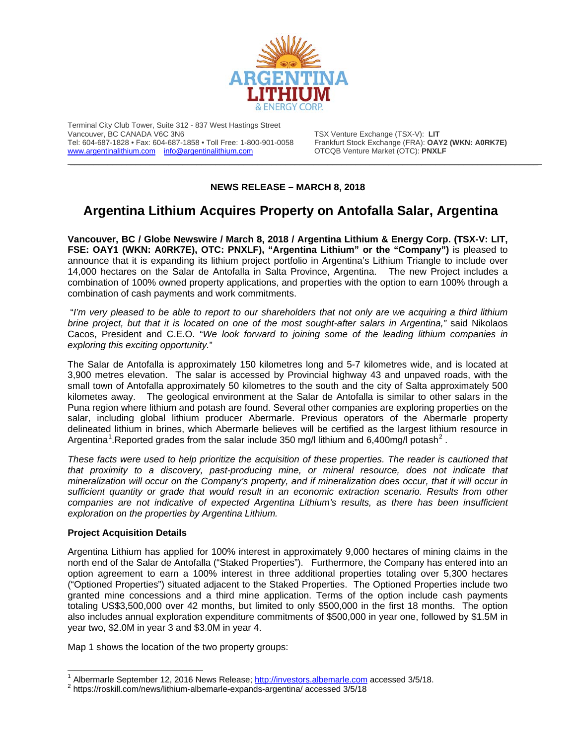

Terminal City Club Tower, Suite 312 - 837 West Hastings Street Vancouver, BC CANADA V6C 3N6<br>Tel: 604-687-1828 • Fax: 604-687-1858 • Toll Free: 1-800-901-0058 Frankfurt Stock Exchange (FRA): **OA** [www.argentinalithium.com](http://www.argentinalithium.com/) [info@argentinalithium.com](mailto:info@argentinalithium.com)

Frankfurt Stock Exchange (FRA): **OAY2 (WKN: A0RK7E)**<br>OTCQB Venture Market (OTC): **PNXLF** 

## **NEWS RELEASE – MARCH 8, 2018**

\_\_\_\_\_\_\_\_\_\_\_\_\_\_\_\_\_\_\_\_\_\_\_\_\_\_\_\_\_\_\_\_\_\_\_\_\_\_\_\_\_\_\_\_\_\_\_\_\_\_\_\_\_\_\_\_\_\_\_\_\_\_\_\_\_\_\_\_\_\_\_\_\_\_\_\_\_\_\_\_\_\_\_\_\_\_\_\_\_\_\_\_\_\_\_\_\_\_\_\_

## **Argentina Lithium Acquires Property on Antofalla Salar, Argentina**

**Vancouver, BC / Globe Newswire / March 8, 2018 / Argentina Lithium & Energy Corp. (TSX-V: LIT, FSE: OAY1 (WKN: A0RK7E), OTC: PNXLF), "Argentina Lithium" or the "Company")** is pleased to announce that it is expanding its lithium project portfolio in Argentina's Lithium Triangle to include over 14,000 hectares on the Salar de Antofalla in Salta Province, Argentina. The new Project includes a combination of 100% owned property applications, and properties with the option to earn 100% through a combination of cash payments and work commitments.

"*I'm very pleased to be able to report to our shareholders that not only are we acquiring a third lithium brine project, but that it is located on one of the most sought-after salars in Argentina,"* said Nikolaos Cacos, President and C.E.O. "*We look forward to joining some of the leading lithium companies in exploring this exciting opportunity.*"

The Salar de Antofalla is approximately 150 kilometres long and 5-7 kilometres wide, and is located at 3,900 metres elevation. The salar is accessed by Provincial highway 43 and unpaved roads, with the small town of Antofalla approximately 50 kilometres to the south and the city of Salta approximately 500 kilometes away. The geological environment at the Salar de Antofalla is similar to other salars in the Puna region where lithium and potash are found. Several other companies are exploring properties on the salar, including global lithium producer Abermarle. Previous operators of the Abermarle property delineated lithium in brines, which Abermarle believes will be certified as the largest lithium resource in Argentina<sup>[1](#page-0-0)</sup>.Reported grades from the salar include 350 mg/l lithium and 6,400mg/l potash<sup>[2](#page-0-1)</sup>.

*These facts were used to help prioritize the acquisition of these properties. The reader is cautioned that that proximity to a discovery, past-producing mine, or mineral resource, does not indicate that mineralization will occur on the Company's property, and if mineralization does occur, that it will occur in sufficient quantity or grade that would result in an economic extraction scenario. Results from other companies are not indicative of expected Argentina Lithium's results, as there has been insufficient exploration on the properties by Argentina Lithium.* 

## **Project Acquisition Details**

Argentina Lithium has applied for 100% interest in approximately 9,000 hectares of mining claims in the north end of the Salar de Antofalla ("Staked Properties"). Furthermore, the Company has entered into an option agreement to earn a 100% interest in three additional properties totaling over 5,300 hectares ("Optioned Properties") situated adjacent to the Staked Properties. The Optioned Properties include two granted mine concessions and a third mine application. Terms of the option include cash payments totaling US\$3,500,000 over 42 months, but limited to only \$500,000 in the first 18 months. The option also includes annual exploration expenditure commitments of \$500,000 in year one, followed by \$1.5M in year two, \$2.0M in year 3 and \$3.0M in year 4.

Map 1 shows the location of the two property groups:

<span id="page-0-0"></span><sup>&</sup>lt;sup>1</sup> Albermarle September 12, 2016 News Release; **http://investors.albemarle.com** accessed 3/5/18.<br><sup>2</sup> https://roskill.com/news/lithium-albemarle-expands-argentina/ accessed 3/5/18

<span id="page-0-1"></span>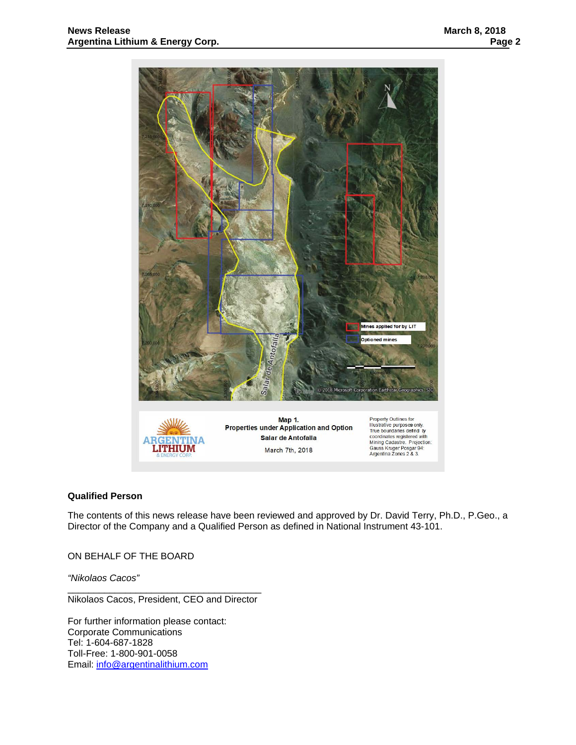

## **Qualified Person**

The contents of this news release have been reviewed and approved by Dr. David Terry, Ph.D., P.Geo., a Director of the Company and a Qualified Person as defined in National Instrument 43-101.

ON BEHALF OF THE BOARD

*"Nikolaos Cacos"*

\_\_\_\_\_\_\_\_\_\_\_\_\_\_\_\_\_\_\_\_\_\_\_\_\_\_\_\_\_\_\_\_\_\_\_\_\_ Nikolaos Cacos, President, CEO and Director

For further information please contact: Corporate Communications Tel: 1-604-687-1828 Toll-Free: 1-800-901-0058 Email: [info@argentinalithium.com](mailto:info@argentinalithium.com)